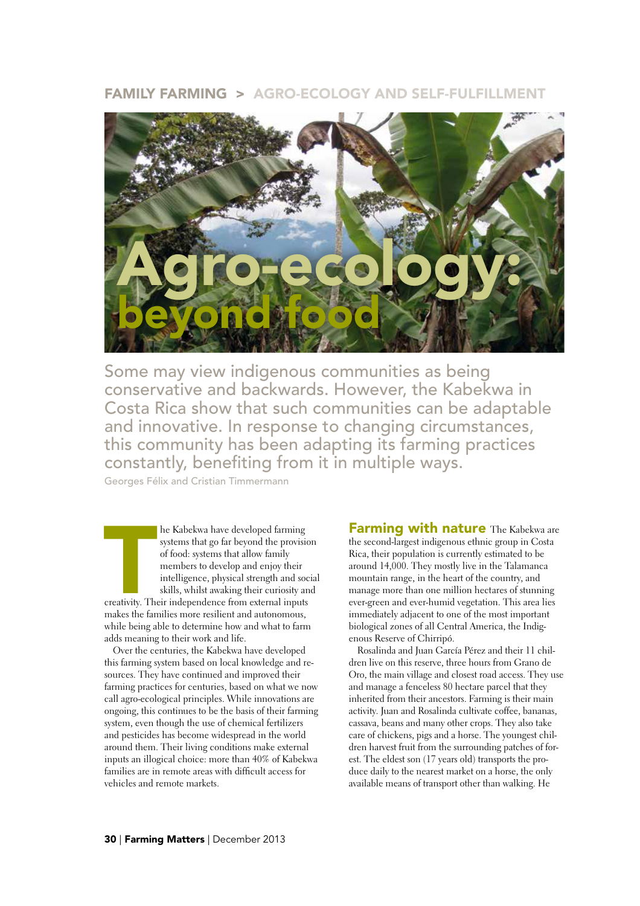## FAMILY FARMING > AGRO-ECOLOGY AND SELF-FULFILLMENT



Some may view indigenous communities as being conservative and backwards. However, the Kabekwa in Costa Rica show that such communities can be adaptable and innovative. In response to changing circumstances, this community has been adapting its farming practices constantly, benefiting from it in multiple ways.

Georges Félix and Cristian Timmermann

The Kabekwa have developed farming<br>systems that go far beyond the provisio<br>of food: systems that allow family<br>members to develop and enjoy their<br>intelligence, physical strength and soc<br>skills, whilst awaking their curiosit he Kabekwa have developed farming systems that go far beyond the provision of food: systems that allow family members to develop and enjoy their intelligence, physical strength and social skills, whilst awaking their curiosity and makes the families more resilient and autonomous, while being able to determine how and what to farm adds meaning to their work and life.

Over the centuries, the Kabekwa have developed this farming system based on local knowledge and resources. They have continued and improved their farming practices for centuries, based on what we now call agro-ecological principles. While innovations are ongoing, this continues to be the basis of their farming system, even though the use of chemical fertilizers and pesticides has become widespread in the world around them. Their living conditions make external inputs an illogical choice: more than 40% of Kabekwa families are in remote areas with difficult access for vehicles and remote markets.

**Farming with nature** The Kabekwa are the second-largest indigenous ethnic group in Costa Rica, their population is currently estimated to be around 14,000. They mostly live in the Talamanca mountain range, in the heart of the country, and manage more than one million hectares of stunning ever-green and ever-humid vegetation. This area lies immediately adjacent to one of the most important biological zones of all Central America, the Indigenous Reserve of Chirripó.

Rosalinda and Juan García Pérez and their 11 children live on this reserve, three hours from Grano de Oro, the main village and closest road access. They use and manage a fenceless 80 hectare parcel that they inherited from their ancestors. Farming is their main activity. Juan and Rosalinda cultivate coffee, bananas, cassava, beans and many other crops. They also take care of chickens, pigs and a horse. The youngest children harvest fruit from the surrounding patches of forest. The eldest son (17 years old) transports the produce daily to the nearest market on a horse, the only available means of transport other than walking. He